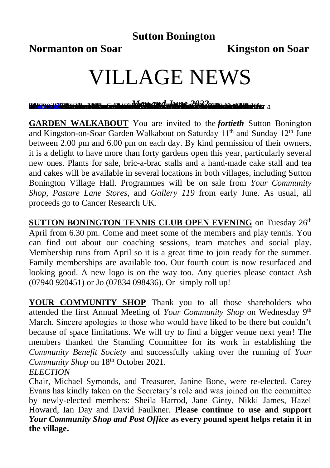## **Sutton Bonington**

**Normanton on Soar Kingston on Soar** 

# VILLAGE NEWS

<u>ran muhamandatung 2022 ma</u>

**GARDEN WALKABOUT** You are invited to the *fortieth* Sutton Bonington and Kingston-on-Soar Garden Walkabout on Saturday 11<sup>th</sup> and Sunday 12<sup>th</sup> June between 2.00 pm and 6.00 pm on each day. By kind permission of their owners, it is a delight to have more than forty gardens open this year, particularly several new ones. Plants for sale, bric-a-brac stalls and a hand-made cake stall and tea and cakes will be available in several locations in both villages, including Sutton Bonington Village Hall. Programmes will be on sale from *Your Community Shop*, *Pasture Lane Stores*, and *Gallery 119* from early June. As usual, all proceeds go to Cancer Research UK.

**SUTTON BONINGTON TENNIS CLUB OPEN EVENING** on Tuesday 26<sup>th</sup> April from 6.30 pm. Come and meet some of the members and play tennis. You can find out about our coaching sessions, team matches and social play. Membership runs from April so it is a great time to join ready for the summer. Family memberships are available too. Our fourth court is now resurfaced and looking good. A new logo is on the way too. Any queries please contact Ash (07940 920451) or Jo (07834 098436). Or simply roll up!

**YOUR COMMUNITY SHOP** Thank you to all those shareholders who attended the first Annual Meeting of *Your Community Shop* on Wednesday 9th March. Sincere apologies to those who would have liked to be there but couldn't because of space limitations. We will try to find a bigger venue next year! The members thanked the Standing Committee for its work in establishing the *Community Benefit Society* and successfully taking over the running of *Your Community Shop* on 18<sup>th</sup> October 2021.

### *ELECTION*

Chair, Michael Symonds, and Treasurer, Janine Bone, were re-elected. Carey Evans has kindly taken on the Secretary's role and was joined on the committee by newly-elected members: Sheila Harrod, Jane Ginty, Nikki James, Hazel Howard, Ian Day and David Faulkner. **Please continue to use and support**  *Your Community Shop and Post Office* **as every pound spent helps retain it in the village.**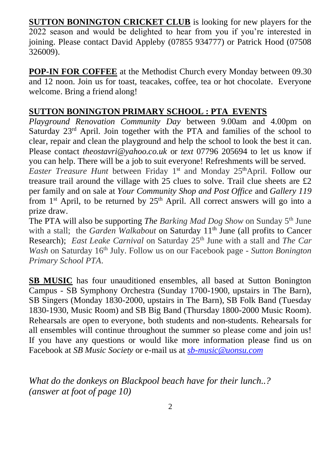**SUTTON BONINGTON CRICKET CLUB** is looking for new players for the 2022 season and would be delighted to hear from you if you're interested in joining. Please contact David Appleby (07855 934777) or Patrick Hood (07508 326009).

**POP-IN FOR COFFEE** at the Methodist Church every Monday between 09.30 and 12 noon. Join us for toast, teacakes, coffee, tea or hot chocolate. Everyone welcome. Bring a friend along!

## **SUTTON BONINGTON PRIMARY SCHOOL : PTA EVENTS**

*Playground Renovation Community Day* between 9.00am and 4.00pm on Saturday 23<sup>rd</sup> April. Join together with the PTA and families of the school to clear, repair and clean the playground and help the school to look the best it can. Please contact *[theostavri@yahoo.co.uk](mailto:theostavri@yahoo.co.uk)* or *text* 07796 205694 to let us know if you can help. There will be a job to suit everyone! Refreshments will be served.

Easter Treasure Hunt between Friday 1<sup>st</sup> and Monday 25<sup>th</sup>April. Follow our treasure trail around the village with 25 clues to solve. Trail clue sheets are £2 per family and on sale at *Your Community Shop and Post Office* and *Gallery 119* from  $1<sup>st</sup>$  April, to be returned by  $25<sup>th</sup>$  April. All correct answers will go into a prize draw.

The PTA will also be supporting *The Barking Mad Dog Show* on Sunday 5th June with a stall; the *Garden Walkabout* on Saturday 11<sup>th</sup> June (all profits to Cancer Research); *East Leake Carnival* on Saturday 25th June with a stall and *The Car Wash* on Saturday 16<sup>th</sup> July. Follow us on our Facebook page - *Sutton Bonington Primary School PTA*.

**SB MUSIC** has four unauditioned ensembles, all based at Sutton Bonington Campus - SB Symphony Orchestra (Sunday 1700-1900, upstairs in The Barn), SB Singers (Monday 1830-2000, upstairs in The Barn), SB Folk Band (Tuesday 1830-1930, Music Room) and SB Big Band (Thursday 1800-2000 Music Room). Rehearsals are open to everyone, both students and non-students. Rehearsals for all ensembles will continue throughout the summer so please come and join us! If you have any questions or would like more information please find us on Facebook at *SB Music Society* or e-mail us at *[sb-music@uonsu.com](mailto:sb-music@uonsu.com)*

*What do the donkeys on Blackpool beach have for their lunch..? (answer at foot of page 10)*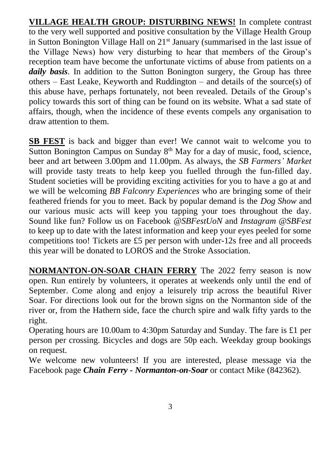**VILLAGE HEALTH GROUP: DISTURBING NEWS!** In complete contrast to the very well supported and positive consultation by the Village Health Group in Sutton Bonington Village Hall on 21<sup>st</sup> January (summarised in the last issue of the Village News) how very disturbing to hear that members of the Group's reception team have become the unfortunate victims of abuse from patients on a *daily basis*. In addition to the Sutton Bonington surgery, the Group has three others – East Leake, Keyworth and Ruddington – and details of the source(s) of this abuse have, perhaps fortunately, not been revealed. Details of the Group's policy towards this sort of thing can be found on its website. What a sad state of affairs, though, when the incidence of these events compels any organisation to draw attention to them.

**SB FEST** is back and bigger than ever! We cannot wait to welcome you to Sutton Bonington Campus on Sunday 8<sup>th</sup> May for a day of music, food, science, beer and art between 3.00pm and 11.00pm. As always, the *SB Farmers' Market* will provide tasty treats to help keep you fuelled through the fun-filled day. Student societies will be providing exciting activities for you to have a go at and we will be welcoming *BB Falconry Experiences* who are bringing some of their feathered friends for you to meet. Back by popular demand is the *Dog Show* and our various music acts will keep you tapping your toes throughout the day. Sound like fun? Follow us on Facebook *@SBFestUoN* and *Instagram @SBFest* to keep up to date with the latest information and keep your eyes peeled for some competitions too! Tickets are £5 per person with under-12s free and all proceeds this year will be donated to LOROS and the Stroke Association.

**NORMANTON-ON-SOAR CHAIN FERRY** The 2022 ferry season is now open. Run entirely by volunteers, it operates at weekends only until the end of September. Come along and enjoy a leisurely trip across the beautiful River Soar. For directions look out for the brown signs on the Normanton side of the river or, from the Hathern side, face the church spire and walk fifty yards to the right.

Operating hours are 10.00am to 4:30pm Saturday and Sunday. The fare is £1 per person per crossing. Bicycles and dogs are 50p each. Weekday group bookings on request.

We welcome new volunteers! If you are interested, please message via the Facebook page *Chain Ferry - Normanton-on-Soar* or contact Mike (842362).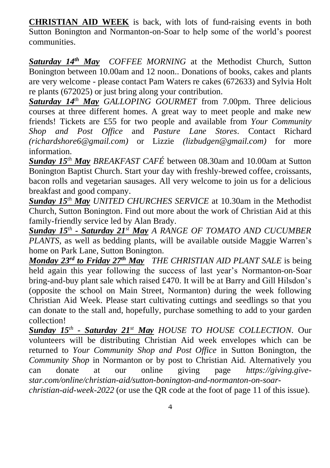**CHRISTIAN AID WEEK** is back, with lots of fund-raising events in both Sutton Bonington and Normanton-on-Soar to help some of the world's poorest communities.

*Saturday 14th May COFFEE MORNING* at the Methodist Church, Sutton Bonington between 10.00am and 12 noon.. Donations of books, cakes and plants are very welcome - please contact Pam Waters re cakes (672633) and Sylvia Holt re plants (672025) or just bring along your contribution.

*Saturday 14th May GALLOPING GOURMET* from 7.00pm. Three delicious courses at three different homes. A great way to meet people and make new friends! Tickets are £55 for two people and available from *Your Community Shop and Post Office* and *Pasture Lane Stores*. Contact Richard *[\(richardshore6@gmail.com\)](mailto:richardshore6@gmail.com)* or Lizzie *(lizbudgen@gmail.com)* for more information.

*Sunday 15th May BREAKFAST CAFÉ* between 08.30am and 10.00am at Sutton Bonington Baptist Church. Start your day with freshly-brewed coffee, croissants, bacon rolls and vegetarian sausages. All very welcome to join us for a delicious breakfast and good company.

*Sunday 15th May UNITED CHURCHES SERVICE* at 10.30am in the Methodist Church, Sutton Bonington. Find out more about the work of Christian Aid at this family-friendly service led by Alan Brady.

*Sunday 15th - Saturday 21st May A RANGE OF TOMATO AND CUCUMBER PLANTS,* as well as bedding plants, will be available outside Maggie Warren's home on Park Lane, Sutton Bonington.

*Monday 23rd to Friday 27th May**THE CHRISTIAN AID PLANT SALE* is being held again this year following the success of last year's Normanton-on-Soar bring-and-buy plant sale which raised £470. It will be at Barry and Gill Hilsdon's (opposite the school on Main Street, Normanton) during the week following Christian Aid Week. Please start cultivating cuttings and seedlings so that you can donate to the stall and, hopefully, purchase something to add to your garden collection!

*Sunday 15th - Saturday 21st May HOUSE TO HOUSE COLLECTION.* Our volunteers will be distributing Christian Aid week envelopes which can be returned to *Your Community Shop and Post Office* in Sutton Bonington, the *Community Shop* in Normanton or by post to Christian Aid. Alternatively you can donate at our online giving page *[https://giving.give](https://giving.give-star.com/online/christian-aid/sutton-bonington-and-normanton-on-soar-christian-aid-week-2022)[star.com/online/christian-aid/sutton-bonington-and-normanton-on-soar](https://giving.give-star.com/online/christian-aid/sutton-bonington-and-normanton-on-soar-christian-aid-week-2022)[christian-aid-week-2022](https://giving.give-star.com/online/christian-aid/sutton-bonington-and-normanton-on-soar-christian-aid-week-2022)* (or use the QR code at the foot of page 11 of this issue).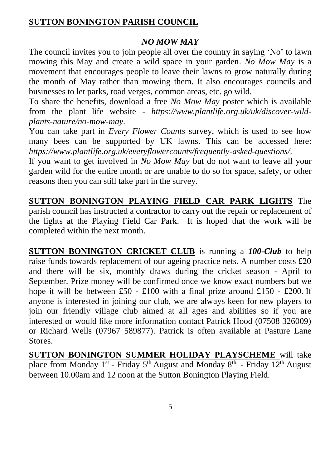### **SUTTON BONINGTON PARISH COUNCIL**

#### *NO MOW MAY*

The council invites you to join people all over the country in saying 'No' to lawn mowing this May and create a wild space in your garden. *No Mow May* is a movement that encourages people to leave their lawns to grow naturally during the month of May rather than mowing them. It also encourages councils and businesses to let parks, road verges, common areas, etc. go wild.

To share the benefits, download a free *No Mow May* poster which is available from the plant life website - *[https://www.plantlife.org.uk/uk/discover-wild](about:blank)[plants-nature/no-mow-may.](about:blank)*

You can take part in *Every Flower Counts* survey, which is used to see how many bees can be supported by UK lawns. This can be accessed here: *[https://www.plantlife.org.uk/everyflowercounts/frequently-asked-questions/](about:blank)*.

If you want to get involved in *No Mow May* but do not want to leave all your garden wild for the entire month or are unable to do so for space, safety, or other reasons then you can still take part in the survey.

**SUTTON BONINGTON PLAYING FIELD CAR PARK LIGHTS** The parish council has instructed a contractor to carry out the repair or replacement of the lights at the Playing Field Car Park. It is hoped that the work will be completed within the next month.

**SUTTON BONINGTON CRICKET CLUB** is running a *100-Club* to help raise funds towards replacement of our ageing practice nets. A number costs £20 and there will be six, monthly draws during the cricket season - April to September. Prize money will be confirmed once we know exact numbers but we hope it will be between £50 - £100 with a final prize around £150 - £200. If anyone is interested in joining our club, we are always keen for new players to join our friendly village club aimed at all ages and abilities so if you are interested or would like more information contact Patrick Hood (07508 326009) or Richard Wells (07967 589877). Patrick is often available at Pasture Lane **Stores**.

**SUTTON BONINGTON SUMMER HOLIDAY PLAYSCHEME** will take place from Monday 1<sup>st</sup> - Friday 5<sup>th</sup> August and Monday 8<sup>th</sup> - Friday 12<sup>th</sup> August between 10.00am and 12 noon at the Sutton Bonington Playing Field.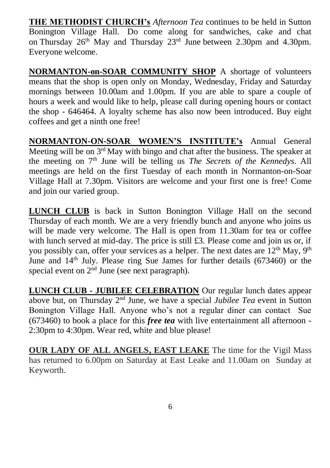**THE METHODIST CHURCH's** *Afternoon Tea* continues to be held in Sutton Bonington Village Hall. Do come along for sandwiches, cake and chat on Thursday 26<sup>th</sup> May and Thursday 23<sup>rd</sup> June between 2.30pm and 4.30pm. Everyone welcome.

**NORMANTON-on-SOAR COMMUNITY SHOP** A shortage of volunteers means that the shop is open only on Monday, Wednesday, Friday and Saturday mornings between 10.00am and 1.00pm. If you are able to spare a couple of hours a week and would like to help, please call during opening hours or contact the shop - 646464. A loyalty scheme has also now been introduced. Buy eight coffees and get a ninth one free!

**NORMANTON-ON-SOAR WOMEN'S INSTITUTE's** Annual General Meeting will be on 3<sup>rd</sup> May with bingo and chat after the business. The speaker at the meeting on 7th June will be telling us *The Secrets of the Kennedys*. All meetings are held on the first Tuesday of each month in Normanton-on-Soar Village Hall at 7.30pm. Visitors are welcome and your first one is free! Come and join our varied group.

**LUNCH CLUB** is back in Sutton Bonington Village Hall on the second Thursday of each month. We are a very friendly bunch and anyone who joins us will be made very welcome. The Hall is open from 11.30am for tea or coffee with lunch served at mid-day. The price is still £3. Please come and join us or, if you possibly can, offer your services as a helper. The next dates are  $12<sup>th</sup>$  May,  $9<sup>th</sup>$ June and 14th July. Please ring Sue James for further details (673460) or the special event on 2<sup>nd</sup> June (see next paragraph).

**LUNCH CLUB - JUBILEE CELEBRATION** Our regular lunch dates appear above but, on Thursday 2nd June, we have a special *Jubilee Tea* event in Sutton Bonington Village Hall. Anyone who's not a regular diner can contact Sue (673460) to book a place for this *free tea* with live entertainment all afternoon - 2:30pm to 4:30pm. Wear red, white and blue please!

**OUR LADY OF ALL ANGELS, EAST LEAKE** The time for the Vigil Mass has returned to 6.00pm on Saturday at East Leake and 11.00am on Sunday at Keyworth.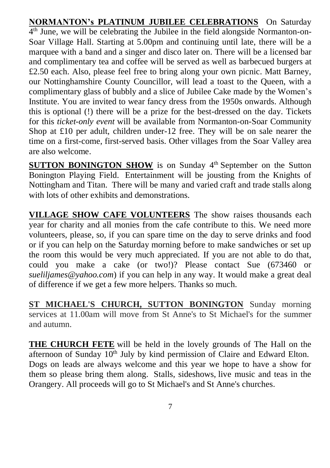**NORMANTON's PLATINUM JUBILEE CELEBRATIONS** On Saturday 4 th June, we will be celebrating the Jubilee in the field alongside Normanton-on-Soar Village Hall. Starting at 5.00pm and continuing until late, there will be a marquee with a band and a singer and disco later on. There will be a licensed bar and complimentary tea and coffee will be served as well as barbecued burgers at £2.50 each. Also, please feel free to bring along your own picnic. Matt Barney, our Nottinghamshire County Councillor, will lead a toast to the Queen, with a complimentary glass of bubbly and a slice of Jubilee Cake made by the Women's Institute. You are invited to wear fancy dress from the 1950s onwards. Although this is optional (!) there will be a prize for the best-dressed on the day. Tickets for this *ticket-only event* will be available from Normanton-on-Soar Community Shop at £10 per adult, children under-12 free. They will be on sale nearer the time on a first-come, first-served basis. Other villages from the Soar Valley area are also welcome.

**SUTTON BONINGTON SHOW** is on Sunday 4<sup>th</sup> September on the Sutton Bonington Playing Field. Entertainment will be jousting from the Knights of Nottingham and Titan. There will be many and varied craft and trade stalls along with lots of other exhibits and demonstrations.

**VILLAGE SHOW CAFE VOLUNTEERS** The show raises thousands each year for charity and all monies from the cafe contribute to this. We need more volunteers, please, so, if you can spare time on the day to serve drinks and food or if you can help on the Saturday morning before to make sandwiches or set up the room this would be very much appreciated. If you are not able to do that, could you make a cake (or two!)? Please contact Sue (673460 or *[sueliljames@yahoo.com](mailto:sueliljames@yahoo.com)*) if you can help in any way. It would make a great deal of difference if we get a few more helpers. Thanks so much.

**ST MICHAEL'S CHURCH, SUTTON BONINGTON** Sunday morning services at 11.00am will move from St Anne's to St Michael's for the summer and autumn.

**THE CHURCH FETE** will be held in the lovely grounds of The Hall on the afternoon of Sunday  $10<sup>th</sup>$  July by kind permission of Claire and Edward Elton. Dogs on leads are always welcome and this year we hope to have a show for them so please bring them along. Stalls, sideshows, live music and teas in the Orangery. All proceeds will go to St Michael's and St Anne's churches.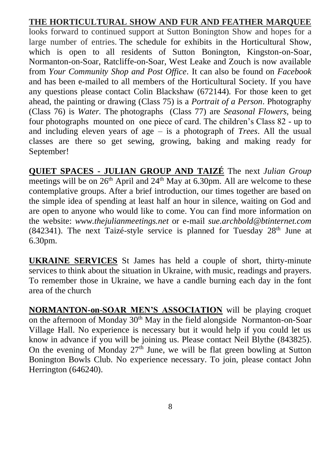## **THE HORTICULTURAL SHOW AND FUR AND FEATHER MARQUEE**

looks forward to continued support at Sutton Bonington Show and hopes for a large number of entries. The schedule for exhibits in the Horticultural Show, which is open to all residents of Sutton Bonington, Kingston-on-Soar, Normanton-on-Soar, Ratcliffe-on-Soar, West Leake and Zouch is now available from *Your Community Shop and Post Office.* It can also be found on *Facebook*  and has been e-mailed to all members of the Horticultural Society. If you have any questions please contact Colin Blackshaw (672144). For those keen to get ahead, the painting or drawing (Class 75) is a *Portrait of a Person*. Photography (Class 76) is *Water.* The photographs (Class 77) are *Seasonal Flowers,* being four photographs mounted on one piece of card. The children's Class 82 - up to and including eleven years of age – is a photograph of *Trees*. All the usual classes are there so get sewing, growing, baking and making ready for September!

**QUIET SPACES - JULIAN GROUP AND TAIZÉ** The next *Julian Group* meetings will be on  $26<sup>th</sup>$  April and  $24<sup>th</sup>$  May at 6.30pm. All are welcome to these contemplative groups. After a brief introduction, our times together are based on the simple idea of spending at least half an hour in silence, waiting on God and are open to anyone who would like to come. You can find more information on the website: *www.thejulianmeetings.net* or e-mail *[sue.archbold@btinternet.com](mailto:sue.archbold@btinternet.com)* (842341). The next Taizé-style service is planned for Tuesday  $28<sup>th</sup>$  June at 6.30pm.

**UKRAINE SERVICES** St James has held a couple of short, thirty-minute services to think about the situation in Ukraine, with music, readings and prayers. To remember those in Ukraine, we have a candle burning each day in the font area of the church

**NORMANTON-on-SOAR MEN'S ASSOCIATION** will be playing croquet on the afternoon of Monday 30<sup>th</sup> May in the field alongside Normanton-on-Soar Village Hall. No experience is necessary but it would help if you could let us know in advance if you will be joining us. Please contact Neil Blythe (843825). On the evening of Monday  $27<sup>th</sup>$  June, we will be flat green bowling at Sutton Bonington Bowls Club. No experience necessary. To join, please contact John Herrington (646240).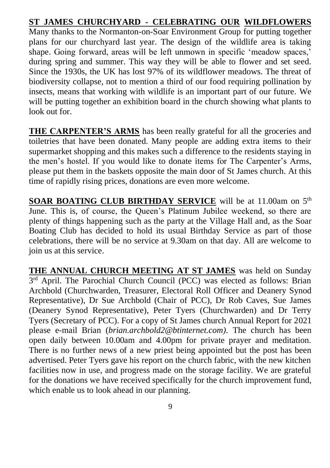## **ST JAMES CHURCHYARD - CELEBRATING OUR WILDFLOWERS**

Many thanks to the Normanton-on-Soar Environment Group for putting together plans for our churchyard last year. The design of the wildlife area is taking shape. Going forward, areas will be left unmown in specific 'meadow spaces,' during spring and summer. This way they will be able to flower and set seed. Since the 1930s, the UK has lost 97% of its wildflower meadows. The threat of biodiversity collapse, not to mention a third of our food requiring pollination by insects, means that working with wildlife is an important part of our future. We will be putting together an exhibition board in the church showing what plants to look out for.

**THE CARPENTER'S ARMS** has been really grateful for all the groceries and toiletries that have been donated. Many people are adding extra items to their supermarket shopping and this makes such a difference to the residents staying in the men's hostel. If you would like to donate items for The Carpenter's Arms, please put them in the baskets opposite the main door of St James church. At this time of rapidly rising prices, donations are even more welcome.

**SOAR BOATING CLUB BIRTHDAY SERVICE** will be at 11.00am on 5<sup>th</sup> June. This is, of course, the Queen's Platinum Jubilee weekend, so there are plenty of things happening such as the party at the Village Hall and, as the Soar Boating Club has decided to hold its usual Birthday Service as part of those celebrations, there will be no service at 9.30am on that day. All are welcome to join us at this service.

**THE ANNUAL CHURCH MEETING AT ST JAMES** was held on Sunday 3<sup>rd</sup> April. The Parochial Church Council (PCC) was elected as follows: Brian Archbold (Churchwarden, Treasurer, Electoral Roll Officer and Deanery Synod Representative), Dr Sue Archbold (Chair of PCC), Dr Rob Caves, Sue James (Deanery Synod Representative), Peter Tyers (Churchwarden) and Dr Terry Tyers (Secretary of PCC). For a copy of St James church Annual Report for 2021 please e-mail Brian (*[brian.archbold2@btinternet.com\)](mailto:brian.archbold2@btinternet.com).* The church has been open daily between 10.00am and 4.00pm for private prayer and meditation. There is no further news of a new priest being appointed but the post has been advertised. Peter Tyers gave his report on the church fabric, with the new kitchen facilities now in use, and progress made on the storage facility. We are grateful for the donations we have received specifically for the church improvement fund, which enable us to look ahead in our planning.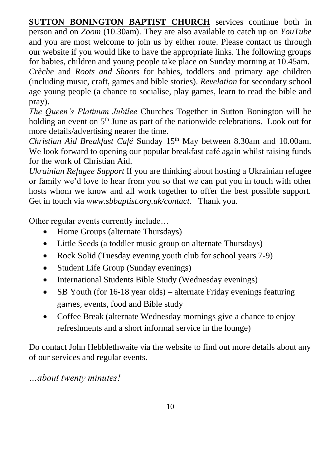**SUTTON BONINGTON BAPTIST CHURCH** services continue both in person and on *Zoom* (10.30am). They are also available to catch up on *YouTube* and you are most welcome to join us by either route. Please contact us through our website if you would like to have the appropriate links. The following groups for babies, children and young people take place on Sunday morning at 10.45am. *Crèche* and *Roots and Shoots* for babies, toddlers and primary age children

(including music, craft, games and bible stories). *Revelation* for secondary school age young people (a chance to socialise, play games, learn to read the bible and pray).

*The Queen's Platinum Jubilee* Churches Together in Sutton Bonington will be holding an event on  $5<sup>th</sup>$  June as part of the nationwide celebrations. Look out for more details/advertising nearer the time.

*Christian Aid Breakfast Café* Sunday 15th May between 8.30am and 10.00am. We look forward to opening our popular breakfast café again whilst raising funds for the work of Christian Aid.

*Ukrainian Refugee Support* If you are thinking about hosting a Ukrainian refugee or family we'd love to hear from you so that we can put you in touch with other hosts whom we know and all work together to offer the best possible support. Get in touch via *[www.sbbaptist.org.uk/contact.](http://www.sbbaptist.org.uk/contact/)* Thank you.

Other regular events currently include…

- Home Groups (alternate Thursdays)
- Little Seeds (a toddler music group on alternate Thursdays)
- Rock Solid (Tuesday evening youth club for school years 7-9)
- Student Life Group (Sunday evenings)
- International Students Bible Study (Wednesday evenings)
- SB Youth (for 16-18 year olds) alternate Friday evenings featuring games, events, food and Bible study
- Coffee Break (alternate Wednesday mornings give a chance to enjoy refreshments and a short informal service in the lounge)

Do contact John Hebblethwaite via the website to find out more details about any of our services and regular events.

*…about twenty minutes!*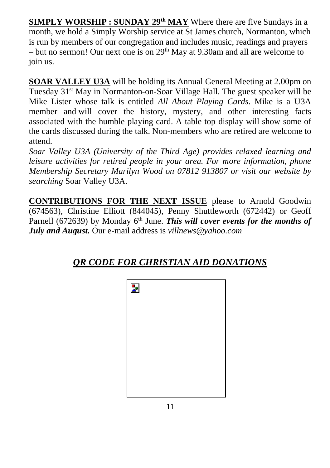**SIMPLY WORSHIP : SUNDAY 29th MAY** Where there are five Sundays in a month, we hold a Simply Worship service at St James church, Normanton, which is run by members of our congregation and includes music, readings and prayers – but no sermon! Our next one is on  $29<sup>th</sup>$  May at 9.30am and all are welcome to join us.

**SOAR VALLEY U3A** will be holding its Annual General Meeting at 2.00pm on Tuesday 31st May in Normanton-on-Soar Village Hall. The guest speaker will be Mike Lister whose talk is entitled *All About Playing Cards*. Mike is a U3A member and will cover the history, mystery, and other interesting facts associated with the humble playing card. A table top display will show some of the cards discussed during the talk. Non-members who are retired are welcome to attend.

*Soar Valley U3A (University of the Third Age) provides relaxed learning and leisure activities for retired people in your area. For more information, phone Membership Secretary Marilyn Wood on 07812 913807 or visit our website by searching* Soar Valley U3A*.*

**CONTRIBUTIONS FOR THE NEXT ISSUE** please to Arnold Goodwin (674563), Christine Elliott (844045), Penny Shuttleworth (672442) or Geoff Parnell (672639) by Monday 6<sup>th</sup> June. *This will cover events for the months of July and August.* Our e-mail address is *[villnews@yahoo.com](about:blank)*



# *QR CODE FOR CHRISTIAN AID DONATIONS*